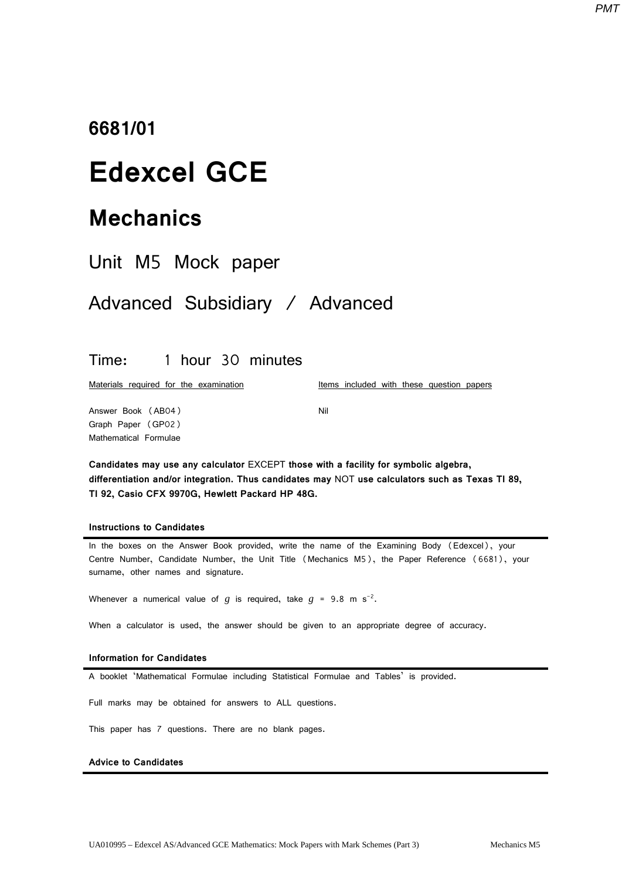## **6681/01**

# **Edexcel GCE**

# **Mechanics**

| Unit M5 Mock paper |  |  |
|--------------------|--|--|
|--------------------|--|--|

## Advanced Subsidiary / Advanced

## Time: 1 hour 30 minutes

Materials required for the examination

Items included with these question papers

Answer Book (AB04) Graph Paper (GP02) Mathematical Formulae

**Candidates may use any calculator** EXCEPT **those with a facility for symbolic algebra, differentiation and/or integration. Thus candidates may** NOT **use calculators such as Texas TI 89, TI 92, Casio CFX 9970G, Hewlett Packard HP 48G.**

Nil

### **Instructions to Candidates**

In the boxes on the Answer Book provided, write the name of the Examining Body (Edexcel), your Centre Number, Candidate Number, the Unit Title (Mechanics M5), the Paper Reference (6681), your surname, other names and signature.

Whenever a numerical value of  $g$  is required, take  $g = 9.8$  m s<sup>-2</sup>.

When a calculator is used, the answer should be given to an appropriate degree of accuracy.

#### **Information for Candidates**

A booklet 'Mathematical Formulae including Statistical Formulae and Tables' is provided.

Full marks may be obtained for answers to ALL questions.

This paper has 7 questions. There are no blank pages.

### **Advice to Candidates**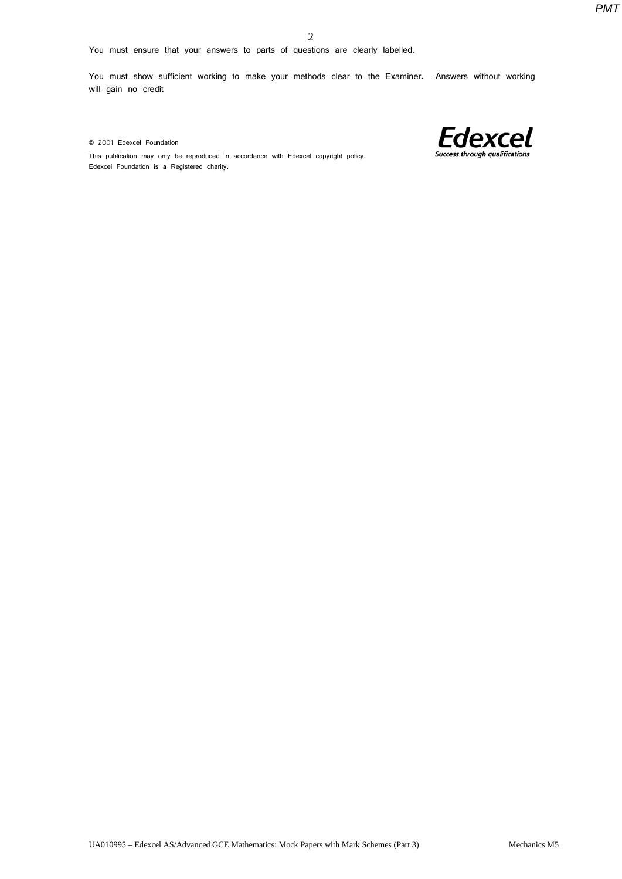You must ensure that your answers to parts of questions are clearly labelled.

You must show sufficient working to make your methods clear to the Examiner. Answers without working will gain no credit

© 2001 Edexcel Foundation



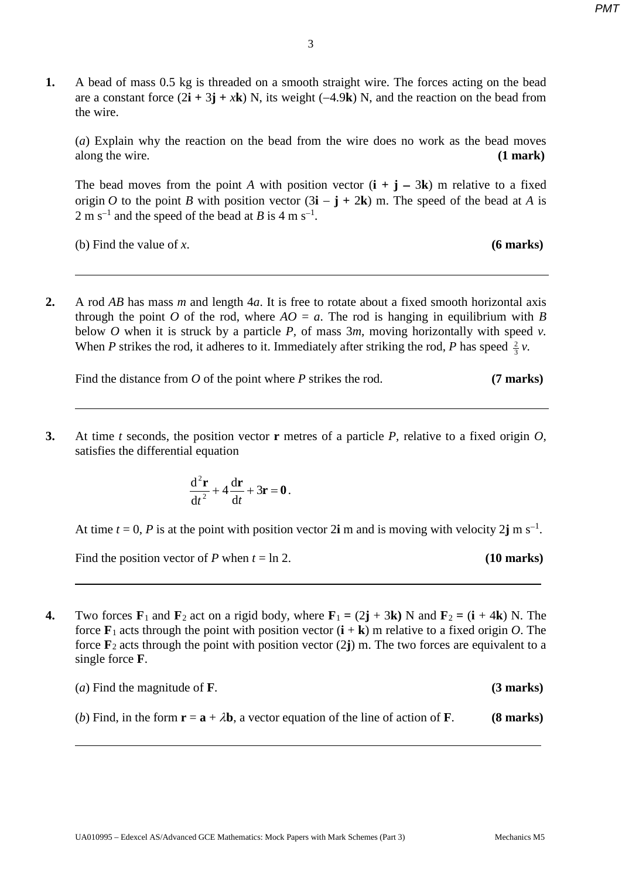| A bead of mass 0.5 kg is threaded on a smooth straight wire. The forces acting on the bead                                                          |
|-----------------------------------------------------------------------------------------------------------------------------------------------------|
| are a constant force $(2\mathbf{i} + 3\mathbf{j} + x\mathbf{k})$ N, its weight $(-4.9\mathbf{k})$ N, and the reaction on the bead from<br>the wire. |
|                                                                                                                                                     |

(*a*) Explain why the reaction on the bead from the wire does no work as the bead moves along the wire. **(1 mark)**

The bead moves from the point *A* with position vector  $(i + j - 3k)$  m relative to a fixed origin *O* to the point *B* with position vector  $(3\mathbf{i} - \mathbf{j} + 2\mathbf{k})$  m. The speed of the bead at *A* is 2 m s<sup> $-1$ </sup> and the speed of the bead at *B* is 4 m s<sup> $-1$ </sup>.

(b) Find the value of *x*. **(6 marks)**

**2.** A rod *AB* has mass *m* and length 4*a*. It is free to rotate about a fixed smooth horizontal axis through the point *O* of the rod, where  $AO = a$ . The rod is hanging in equilibrium with *B* below *O* when it is struck by a particle *P,* of mass 3*m,* moving horizontally with speed *v.*  When *P* strikes the rod, it adheres to it. Immediately after striking the rod, *P* has speed  $\frac{2}{3}v$ .

Find the distance from *O* of the point where *P* strikes the rod. **(7 marks)** 

**3.** At time *t* seconds, the position vector **r** metres of a particle *P,* relative to a fixed origin *O,*  satisfies the differential equation

$$
\frac{\mathrm{d}^2\mathbf{r}}{\mathrm{d}t^2} + 4\frac{\mathrm{d}\mathbf{r}}{\mathrm{d}t} + 3\mathbf{r} = \mathbf{0}.
$$

At time  $t = 0$ , *P* is at the point with position vector 2**i** m and is moving with velocity 2**j** m s<sup>-1</sup>.

Find the position vector of *P* when  $t = \ln 2$ . (10 marks)

**4.** Two forces  $\mathbf{F}_1$  and  $\mathbf{F}_2$  act on a rigid body, where  $\mathbf{F}_1 = (2\mathbf{j} + 3\mathbf{k})$  N and  $\mathbf{F}_2 = (\mathbf{i} + 4\mathbf{k})$  N. The force  $\mathbf{F}_1$  acts through the point with position vector  $(\mathbf{i} + \mathbf{k})$  m relative to a fixed origin *O*. The force **F**<sup>2</sup> acts through the point with position vector (2**j**) m. The two forces are equivalent to a single force **F**.

| ( <i>a</i> ) Find the magnitude of <b>F</b> .                                                                                | $(3$ marks)         |
|------------------------------------------------------------------------------------------------------------------------------|---------------------|
| (b) Find, in the form $\mathbf{r} = \mathbf{a} + \lambda \mathbf{b}$ , a vector equation of the line of action of <b>F</b> . | $(8 \text{ marks})$ |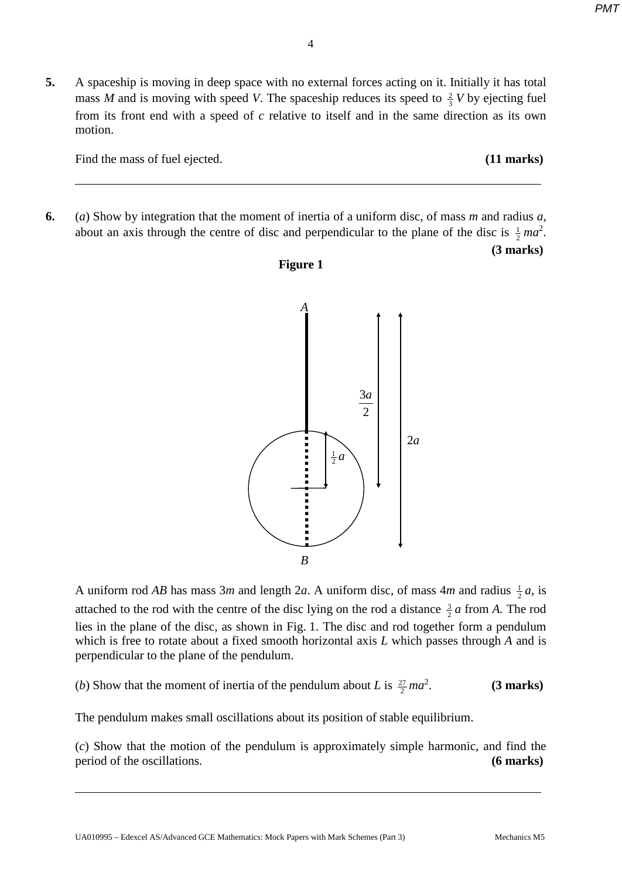**5.** A spaceship is moving in deep space with no external forces acting on it. Initially it has total mass *M* and is moving with speed *V*. The spaceship reduces its speed to  $\frac{2}{3}$  *V* by ejecting fuel from its front end with a speed of *c* relative to itself and in the same direction as its own motion.

Find the mass of fuel ejected. **(11 marks)** 

**6.** (*a*) Show by integration that the moment of inertia of a uniform disc, of mass *m* and radius *a*, about an axis through the centre of disc and perpendicular to the plane of the disc is  $\frac{1}{2}ma^2$ .

**Figure 1**

**(3 marks)**



A uniform rod *AB* has mass 3*m* and length 2*a*. A uniform disc, of mass 4*m* and radius  $\frac{1}{2}a$ , is attached to the rod with the centre of the disc lying on the rod a distance  $\frac{3}{2}a$  from *A*. The rod lies in the plane of the disc, as shown in Fig. 1. The disc and rod together form a pendulum which is free to rotate about a fixed smooth horizontal axis *L* which passes through *A* and is perpendicular to the plane of the pendulum.

(*b*) Show that the moment of inertia of the pendulum about *L* is  $\frac{27}{2}$  *ma*<sup>2</sup> .**(3 marks)**

The pendulum makes small oscillations about its position of stable equilibrium.

(*c*) Show that the motion of the pendulum is approximately simple harmonic, and find the period of the oscillations. **(6 marks)**